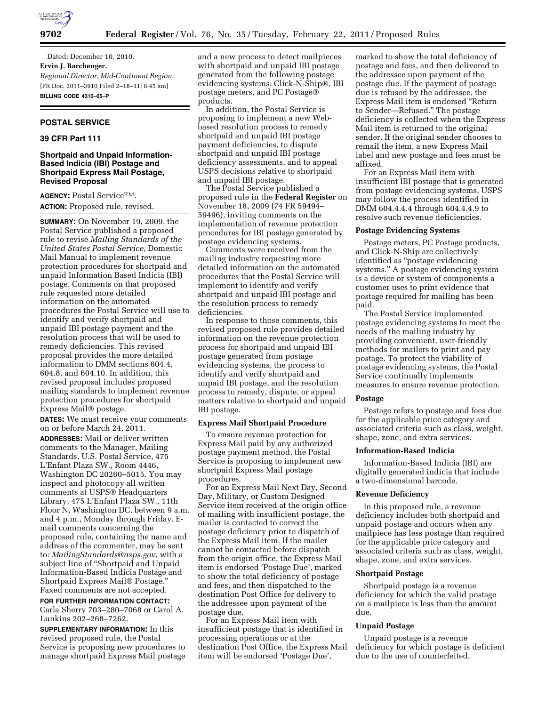

Dated: December 10, 2010. **Ervin J. Barchenger,**  *Regional Director, Mid-Continent Region.*  [FR Doc. 2011–3910 Filed 2–18–11; 8:45 am] **BILLING CODE 4310–05–P** 

# **POSTAL SERVICE**

# **39 CFR Part 111**

# **Shortpaid and Unpaid Information-Based Indicia (IBI) Postage and Shortpaid Express Mail Postage, Revised Proposal**

**AGENCY:** Postal ServiceTM. **ACTION:** Proposed rule, revised.

**SUMMARY:** On November 19, 2009, the Postal Service published a proposed rule to revise *Mailing Standards of the United States Postal Service*, Domestic Mail Manual to implement revenue protection procedures for shortpaid and unpaid Information Based Indicia (IBI) postage. Comments on that proposed rule requested more detailed information on the automated procedures the Postal Service will use to identify and verify shortpaid and unpaid IBI postage payment and the resolution process that will be used to remedy deficiencies. This revised proposal provides the more detailed information to DMM sections 604.4, 604.8, and 604.10. In addition, this revised proposal includes proposed mailing standards to implement revenue protection procedures for shortpaid Express Mail® postage.

**DATES:** We must receive your comments on or before March 24, 2011.

**ADDRESSES:** Mail or deliver written comments to the Manager, Mailing Standards, U.S. Postal Service, 475 L'Enfant Plaza SW., Room 4446, Washington DC 20260–5015. You may inspect and photocopy all written comments at USPS® Headquarters Library, 475 L'Enfant Plaza SW., 11th Floor N, Washington DC, between 9 a.m. and 4 p.m., Monday through Friday. Email comments concerning the proposed rule, containing the name and address of the commenter, may be sent to: *[MailingStandards@usps.gov](mailto:MailingStandards@usps.gov)*, with a subject line of ''Shortpaid and Unpaid Information-Based Indicia Postage and Shortpaid Express Mail® Postage.'' Faxed comments are not accepted.

**FOR FURTHER INFORMATION CONTACT:**  Carla Sherry 703–280–7068 or Carol A. Lunkins 202–268–7262.

**SUPPLEMENTARY INFORMATION:** In this revised proposed rule, the Postal Service is proposing new procedures to manage shortpaid Express Mail postage

and a new process to detect mailpieces with shortpaid and unpaid IBI postage generated from the following postage evidencing systems: Click-N-Ship®, IBI postage meters, and PC Postage® products.

In addition, the Postal Service is proposing to implement a new Webbased resolution process to remedy shortpaid and unpaid IBI postage payment deficiencies, to dispute shortpaid and unpaid IBI postage deficiency assessments, and to appeal USPS decisions relative to shortpaid and unpaid IBI postage.

The Postal Service published a proposed rule in the **Federal Register** on November 18, 2009 (74 FR 59494– 59496), inviting comments on the implementation of revenue protection procedures for IBI postage generated by postage evidencing systems.

Comments were received from the mailing industry requesting more detailed information on the automated procedures that the Postal Service will implement to identify and verify shortpaid and unpaid IBI postage and the resolution process to remedy deficiencies.

In response to those comments, this revised proposed rule provides detailed information on the revenue protection process for shortpaid and unpaid IBI postage generated from postage evidencing systems, the process to identify and verify shortpaid and unpaid IBI postage, and the resolution process to remedy, dispute, or appeal matters relative to shortpaid and unpaid IBI postage.

## **Express Mail Shortpaid Procedure**

To ensure revenue protection for Express Mail paid by any authorized postage payment method, the Postal Service is proposing to implement new shortpaid Express Mail postage procedures.

For an Express Mail Next Day, Second Day, Military, or Custom Designed Service item received at the origin office of mailing with insufficient postage, the mailer is contacted to correct the postage deficiency prior to dispatch of the Express Mail item. If the mailer cannot be contacted before dispatch from the origin office, the Express Mail item is endorsed 'Postage Due', marked to show the total deficiency of postage and fees, and then dispatched to the destination Post Office for delivery to the addressee upon payment of the postage due.

For an Express Mail item with insufficient postage that is identified in processing operations or at the destination Post Office, the Express Mail item will be endorsed 'Postage Due',

marked to show the total deficiency of postage and fees, and then delivered to the addressee upon payment of the postage due. If the payment of postage due is refused by the addressee, the Express Mail item is endorsed ''Return to Sender—Refused.'' The postage deficiency is collected when the Express Mail item is returned to the original sender. If the original sender chooses to remail the item, a new Express Mail label and new postage and fees must be affixed.

For an Express Mail item with insufficient IBI postage that is generated from postage evidencing systems, USPS may follow the process identified in DMM 604.4.4.4 through 604.4.4.9 to resolve such revenue deficiencies.

### **Postage Evidencing Systems**

Postage meters, PC Postage products, and Click-N-Ship are collectively identified as ''postage evidencing systems.'' A postage evidencing system is a device or system of components a customer uses to print evidence that postage required for mailing has been paid.

The Postal Service implemented postage evidencing systems to meet the needs of the mailing industry by providing convenient, user-friendly methods for mailers to print and pay postage. To protect the viability of postage evidencing systems, the Postal Service continually implements measures to ensure revenue protection.

#### **Postage**

Postage refers to postage and fees due for the applicable price category and associated criteria such as class, weight, shape, zone, and extra services.

#### **Information-Based Indicia**

Information-Based Indicia (IBI) are digitally generated indicia that include a two-dimensional barcode.

## **Revenue Deficiency**

In this proposed rule, a revenue deficiency includes both shortpaid and unpaid postage and occurs when any mailpiece has less postage than required for the applicable price category and associated criteria such as class, weight, shape, zone, and extra services.

#### **Shortpaid Postage**

Shortpaid postage is a revenue deficiency for which the valid postage on a mailpiece is less than the amount due.

## **Unpaid Postage**

Unpaid postage is a revenue deficiency for which postage is deficient due to the use of counterfeited,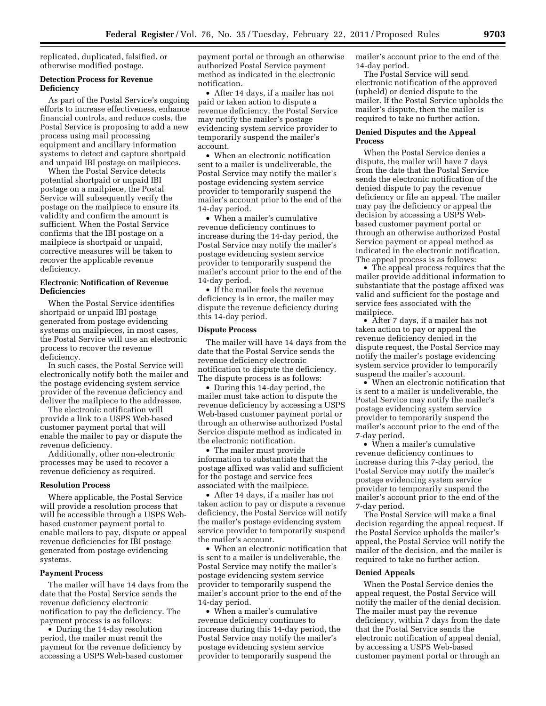replicated, duplicated, falsified, or otherwise modified postage.

## **Detection Process for Revenue Deficiency**

As part of the Postal Service's ongoing efforts to increase effectiveness, enhance financial controls, and reduce costs, the Postal Service is proposing to add a new process using mail processing equipment and ancillary information systems to detect and capture shortpaid and unpaid IBI postage on mailpieces.

When the Postal Service detects potential shortpaid or unpaid IBI postage on a mailpiece, the Postal Service will subsequently verify the postage on the mailpiece to ensure its validity and confirm the amount is sufficient. When the Postal Service confirms that the IBI postage on a mailpiece is shortpaid or unpaid, corrective measures will be taken to recover the applicable revenue deficiency.

## **Electronic Notification of Revenue Deficiencies**

When the Postal Service identifies shortpaid or unpaid IBI postage generated from postage evidencing systems on mailpieces, in most cases, the Postal Service will use an electronic process to recover the revenue deficiency.

In such cases, the Postal Service will electronically notify both the mailer and the postage evidencing system service provider of the revenue deficiency and deliver the mailpiece to the addressee.

The electronic notification will provide a link to a USPS Web-based customer payment portal that will enable the mailer to pay or dispute the revenue deficiency.

Additionally, other non-electronic processes may be used to recover a revenue deficiency as required.

#### **Resolution Process**

Where applicable, the Postal Service will provide a resolution process that will be accessible through a USPS Webbased customer payment portal to enable mailers to pay, dispute or appeal revenue deficiencies for IBI postage generated from postage evidencing systems.

#### **Payment Process**

The mailer will have 14 days from the date that the Postal Service sends the revenue deficiency electronic notification to pay the deficiency. The payment process is as follows:

• During the 14-day resolution period, the mailer must remit the payment for the revenue deficiency by accessing a USPS Web-based customer payment portal or through an otherwise authorized Postal Service payment method as indicated in the electronic notification.

• After 14 days, if a mailer has not paid or taken action to dispute a revenue deficiency, the Postal Service may notify the mailer's postage evidencing system service provider to temporarily suspend the mailer's account.

• When an electronic notification sent to a mailer is undeliverable, the Postal Service may notify the mailer's postage evidencing system service provider to temporarily suspend the mailer's account prior to the end of the 14-day period.

• When a mailer's cumulative revenue deficiency continues to increase during the 14-day period, the Postal Service may notify the mailer's postage evidencing system service provider to temporarily suspend the mailer's account prior to the end of the 14-day period.

• If the mailer feels the revenue deficiency is in error, the mailer may dispute the revenue deficiency during this 14-day period.

#### **Dispute Process**

The mailer will have 14 days from the date that the Postal Service sends the revenue deficiency electronic notification to dispute the deficiency. The dispute process is as follows:

• During this 14-day period, the mailer must take action to dispute the revenue deficiency by accessing a USPS Web-based customer payment portal or through an otherwise authorized Postal Service dispute method as indicated in the electronic notification.

• The mailer must provide information to substantiate that the postage affixed was valid and sufficient for the postage and service fees associated with the mailpiece.

• After 14 days, if a mailer has not taken action to pay or dispute a revenue deficiency, the Postal Service will notify the mailer's postage evidencing system service provider to temporarily suspend the mailer's account.

• When an electronic notification that is sent to a mailer is undeliverable, the Postal Service may notify the mailer's postage evidencing system service provider to temporarily suspend the mailer's account prior to the end of the 14-day period.

• When a mailer's cumulative revenue deficiency continues to increase during this 14-day period, the Postal Service may notify the mailer's postage evidencing system service provider to temporarily suspend the

mailer's account prior to the end of the 14-day period.

The Postal Service will send electronic notification of the approved (upheld) or denied dispute to the mailer. If the Postal Service upholds the mailer's dispute, then the mailer is required to take no further action.

## **Denied Disputes and the Appeal Process**

When the Postal Service denies a dispute, the mailer will have 7 days from the date that the Postal Service sends the electronic notification of the denied dispute to pay the revenue deficiency or file an appeal. The mailer may pay the deficiency or appeal the decision by accessing a USPS Webbased customer payment portal or through an otherwise authorized Postal Service payment or appeal method as indicated in the electronic notification. The appeal process is as follows:

• The appeal process requires that the mailer provide additional information to substantiate that the postage affixed was valid and sufficient for the postage and service fees associated with the mailpiece.

• After 7 days, if a mailer has not taken action to pay or appeal the revenue deficiency denied in the dispute request, the Postal Service may notify the mailer's postage evidencing system service provider to temporarily suspend the mailer's account.

• When an electronic notification that is sent to a mailer is undeliverable, the Postal Service may notify the mailer's postage evidencing system service provider to temporarily suspend the mailer's account prior to the end of the 7-day period.

• When a mailer's cumulative revenue deficiency continues to increase during this 7-day period, the Postal Service may notify the mailer's postage evidencing system service provider to temporarily suspend the mailer's account prior to the end of the 7-day period.

The Postal Service will make a final decision regarding the appeal request. If the Postal Service upholds the mailer's appeal, the Postal Service will notify the mailer of the decision, and the mailer is required to take no further action.

#### **Denied Appeals**

When the Postal Service denies the appeal request, the Postal Service will notify the mailer of the denial decision. The mailer must pay the revenue deficiency, within 7 days from the date that the Postal Service sends the electronic notification of appeal denial, by accessing a USPS Web-based customer payment portal or through an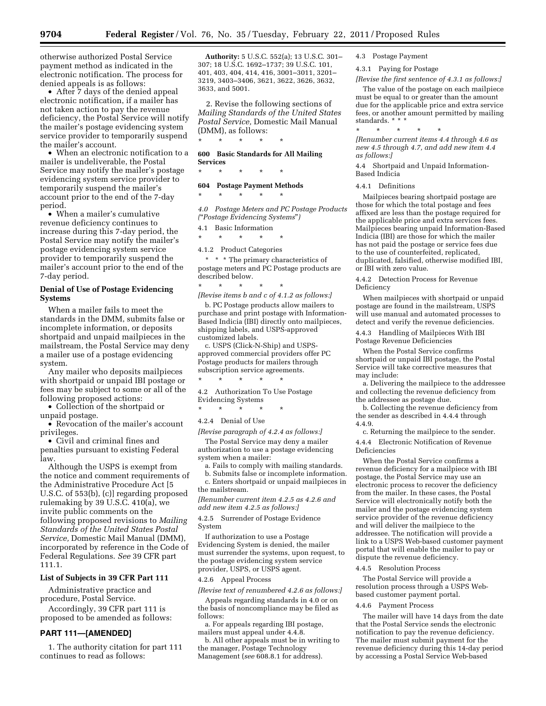otherwise authorized Postal Service payment method as indicated in the electronic notification. The process for denied appeals is as follows:

• After 7 days of the denied appeal electronic notification, if a mailer has not taken action to pay the revenue deficiency, the Postal Service will notify the mailer's postage evidencing system service provider to temporarily suspend the mailer's account.

• When an electronic notification to a mailer is undeliverable, the Postal Service may notify the mailer's postage evidencing system service provider to temporarily suspend the mailer's account prior to the end of the 7-day period.

• When a mailer's cumulative revenue deficiency continues to increase during this 7-day period, the Postal Service may notify the mailer's postage evidencing system service provider to temporarily suspend the mailer's account prior to the end of the 7-day period.

# **Denial of Use of Postage Evidencing Systems**

When a mailer fails to meet the standards in the DMM, submits false or incomplete information, or deposits shortpaid and unpaid mailpieces in the mailstream, the Postal Service may deny a mailer use of a postage evidencing system.

Any mailer who deposits mailpieces with shortpaid or unpaid IBI postage or fees may be subject to some or all of the following proposed actions:

• Collection of the shortpaid or unpaid postage.

• Revocation of the mailer's account privileges.

• Civil and criminal fines and penalties pursuant to existing Federal law.

Although the USPS is exempt from the notice and comment requirements of the Administrative Procedure Act [5 U.S.C. of 553(b), (c)] regarding proposed rulemaking by 39 U.S.C. 410(a), we invite public comments on the following proposed revisions to *Mailing Standards of the United States Postal Service,* Domestic Mail Manual (DMM), incorporated by reference in the Code of Federal Regulations. *See* 39 CFR part 111.1.

### **List of Subjects in 39 CFR Part 111**

Administrative practice and procedure, Postal Service.

Accordingly, 39 CFR part 111 is proposed to be amended as follows:

### **PART 111—[AMENDED]**

1. The authority citation for part 111 continues to read as follows:

**Authority:** 5 U.S.C. 552(a); 13 U.S.C. 301– 307; 18 U.S.C. 1692–1737; 39 U.S.C. 101, 401, 403, 404, 414, 416, 3001–3011, 3201– 3219, 3403–3406, 3621, 3622, 3626, 3632, 3633, and 5001.

2. Revise the following sections of *Mailing Standards of the United States Postal Service,* Domestic Mail Manual (DMM), as follows:

**600 Basic Standards for All Mailing Services** 

\* \* \* \* \*

\* \* \* \* \*

# **604 Postage Payment Methods**

\* \* \* \* \*

*4.0 Postage Meters and PC Postage Products (*''*Postage Evidencing Systems*''*)* 

4.1 Basic Information

\* \* \* \* \*

4.1.2 Product Categories

\* \* \* The primary characteristics of postage meters and PC Postage products are described below. \* \* \* \* \*

*[Revise items b and c of 4.1.2 as follows:]* 

b. PC Postage products allow mailers to purchase and print postage with Information-Based Indicia (IBI) directly onto mailpieces, shipping labels, and USPS-approved customized labels.

c. USPS (Click-N-Ship) and USPSapproved commercial providers offer PC Postage products for mailers through subscription service agreements.

\* \* \* \* \* 4.2 Authorization To Use Postage Evidencing Systems

\* \* \* \* \*

4.2.4 Denial of Use

*[Revise paragraph of 4.2.4 as follows:]* 

The Postal Service may deny a mailer authorization to use a postage evidencing system when a mailer:

a. Fails to comply with mailing standards. b. Submits false or incomplete information.

c. Enters shortpaid or unpaid mailpieces in the mailstream.

*[Renumber current item 4.2.5 as 4.2.6 and add new item 4.2.5 as follows:]* 

4.2.5 Surrender of Postage Evidence System

If authorization to use a Postage Evidencing System is denied, the mailer must surrender the systems, upon request, to the postage evidencing system service provider, USPS, or USPS agent.

4.2.6 Appeal Process

*[Revise text of renumbered 4.2.6 as follows:]* 

Appeals regarding standards in 4.0 or on the basis of noncompliance may be filed as follows:

a. For appeals regarding IBI postage, mailers must appeal under 4.4.8.

b. All other appeals must be in writing to the manager, Postage Technology Management (*see* 608.8.1 for address).

4.3 Postage Payment

4.3.1 Paying for Postage

*[Revise the first sentence of 4.3.1 as follows:]* 

The value of the postage on each mailpiece must be equal to or greater than the amount due for the applicable price and extra service fees, or another amount permitted by mailing standards. \* \* \*

\* \* \* \* \* *[Renumber current items 4.4 through 4.6 as new 4.5 through 4.7, and add new item 4.4 as follows:]* 

4.4 Shortpaid and Unpaid Information-Based Indicia

4.4.1 Definitions

Mailpieces bearing shortpaid postage are those for which the total postage and fees affixed are less than the postage required for the applicable price and extra services fees. Mailpieces bearing unpaid Information-Based Indicia (IBI) are those for which the mailer has not paid the postage or service fees due to the use of counterfeited, replicated, duplicated, falsified, otherwise modified IBI, or IBI with zero value.

4.4.2 Detection Process for Revenue Deficiency

When mailpieces with shortpaid or unpaid postage are found in the mailstream, USPS will use manual and automated processes to detect and verify the revenue deficiencies.

4.4.3 Handling of Mailpieces With IBI Postage Revenue Deficiencies

When the Postal Service confirms shortpaid or unpaid IBI postage, the Postal Service will take corrective measures that may include:

a. Delivering the mailpiece to the addressee and collecting the revenue deficiency from the addressee as postage due.

b. Collecting the revenue deficiency from the sender as described in 4.4.4 through 4.4.9.

c. Returning the mailpiece to the sender. 4.4.4 Electronic Notification of Revenue Deficiencies

When the Postal Service confirms a revenue deficiency for a mailpiece with IBI postage, the Postal Service may use an electronic process to recover the deficiency from the mailer. In these cases, the Postal Service will electronically notify both the mailer and the postage evidencing system service provider of the revenue deficiency and will deliver the mailpiece to the addressee. The notification will provide a link to a USPS Web-based customer payment portal that will enable the mailer to pay or dispute the revenue deficiency.

4.4.5 Resolution Process

The Postal Service will provide a resolution process through a USPS Webbased customer payment portal.

#### 4.4.6 Payment Process

The mailer will have 14 days from the date that the Postal Service sends the electronic notification to pay the revenue deficiency. The mailer must submit payment for the revenue deficiency during this 14-day period by accessing a Postal Service Web-based